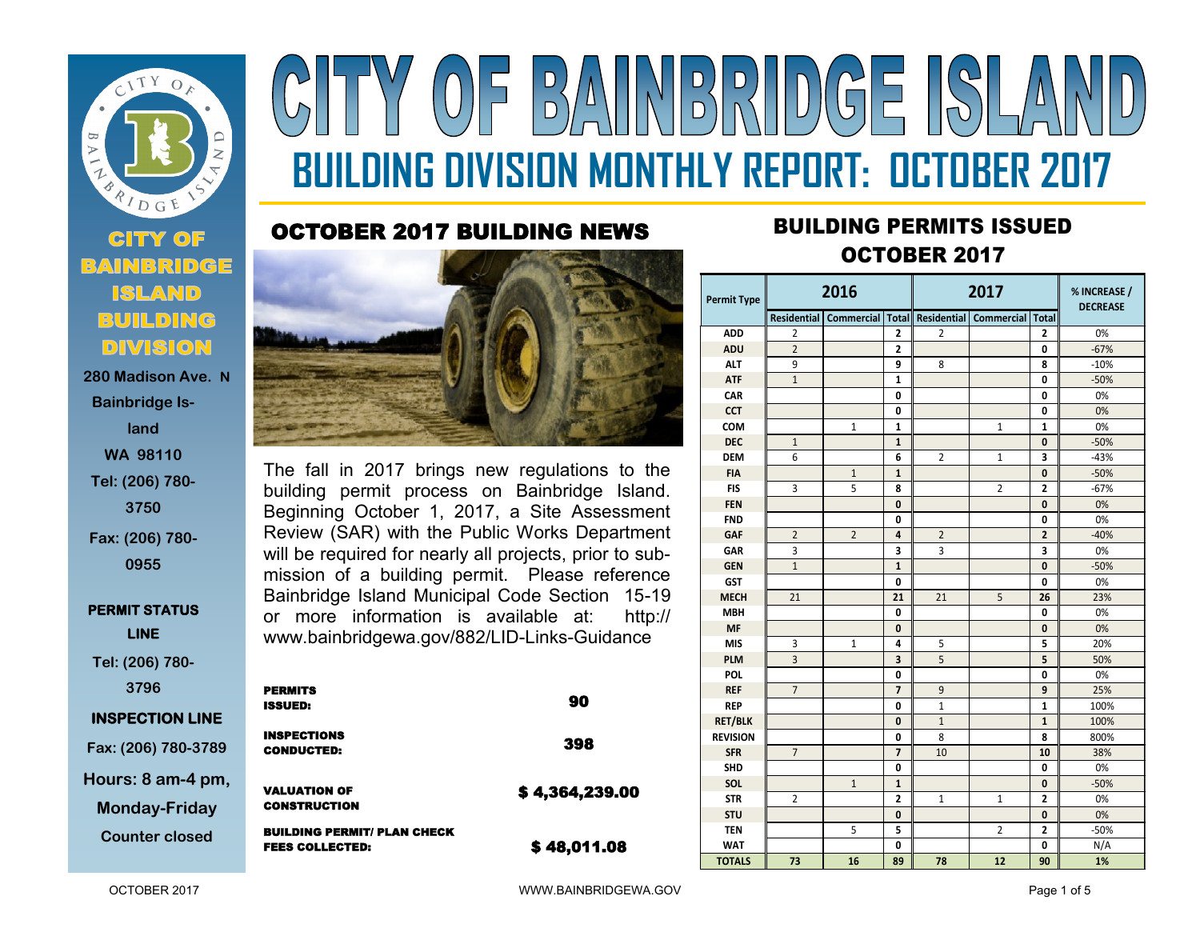

**Bainbridge Island WA 98110 Tel: (206) 780- 3750 Fax: (206) 780-**

**0955**

**PERMIT STATUS LINE** 

**Tel: (206) 780- 3796**

## **INSPECTION LINE**

**Fax: (206) 780-3789 Hours: 8 am-4 pm, Monday-Friday**

**Counter closed** 

## Y OF BAINBRIDGE ISLA **BUILDING DIVISION MONTHLY REPORT: OCTOBER 2017**

## OCTOBER 2017 BUILDING NEWS



The fall in 2017 brings new regulations to the building permit process on Bainbridge Island. Beginning October 1, 2017, a Site Assessment Review (SAR) with the Public Works Department will be required for nearly all projects, prior to submission of a building permit. Please reference Bainbridge Island Municipal Code Section 15-19 or more information is available at: http:// www.bainbridgewa.gov/882/LID-Links-Guidance

|    | <b>PERMITS</b><br><b>ISSUED:</b>                             | 90             |
|----|--------------------------------------------------------------|----------------|
|    | <b>INSPECTIONS</b><br><b>CONDUCTED:</b>                      | 398            |
| Ι, | <b>VALUATION OF</b><br><b>CONSTRUCTION</b>                   | \$4,364,239.00 |
|    | <b>BUILDING PERMIT/ PLAN CHECK</b><br><b>FEES COLLECTED:</b> | \$48,011.08    |

## **<sup>2017</sup>** BUILDING PERMITS ISSUED OCTOBER 2017

| <b>Permit Type</b> | 2016           |                |                         | 2017           |                                                                     |                | % INCREASE /<br><b>DECREASE</b> |
|--------------------|----------------|----------------|-------------------------|----------------|---------------------------------------------------------------------|----------------|---------------------------------|
|                    |                |                |                         |                | Residential   Commercial   Total   Residential   Commercial   Total |                |                                 |
| <b>ADD</b>         | $\overline{2}$ |                | $\mathbf{2}$            | $\overline{2}$ |                                                                     | $\overline{2}$ | 0%                              |
| <b>ADU</b>         | $\overline{2}$ |                | $\overline{2}$          |                |                                                                     | 0              | $-67%$                          |
| <b>ALT</b>         | 9              |                | 9                       | 8              |                                                                     | 8              | $-10%$                          |
| <b>ATF</b>         | $\mathbf{1}$   |                | 1                       |                |                                                                     | 0              | $-50%$                          |
| CAR                |                |                | 0                       |                |                                                                     | 0              | 0%                              |
| <b>CCT</b>         |                |                | 0                       |                |                                                                     | 0              | 0%                              |
| <b>COM</b>         |                | $\mathbf{1}$   | 1                       |                | $\mathbf{1}$                                                        | $\mathbf{1}$   | 0%                              |
| <b>DEC</b>         | $\mathbf 1$    |                | 1                       |                |                                                                     | 0              | $-50%$                          |
| <b>DEM</b>         | 6              |                | 6                       | $\overline{2}$ | 1                                                                   | 3              | $-43%$                          |
| <b>FIA</b>         |                | $\mathbf{1}$   | 1                       |                |                                                                     | 0              | $-50%$                          |
| <b>FIS</b>         | 3              | 5              | 8                       |                | $\overline{2}$                                                      | 2              | $-67%$                          |
| <b>FEN</b>         |                |                | $\mathbf{0}$            |                |                                                                     | 0              | 0%                              |
| <b>FND</b>         |                |                | 0                       |                |                                                                     | 0              | 0%                              |
| <b>GAF</b>         | $\overline{2}$ | $\overline{2}$ | 4                       | $\overline{2}$ |                                                                     | $\overline{2}$ | $-40%$                          |
| <b>GAR</b>         | 3              |                | 3                       | $\overline{3}$ |                                                                     | 3              | 0%                              |
| <b>GEN</b>         | $\overline{1}$ |                | $\mathbf{1}$            |                |                                                                     | $\mathbf{0}$   | $-50%$                          |
| <b>GST</b>         |                |                | 0                       |                |                                                                     | 0              | 0%                              |
| <b>MECH</b>        | 21             |                | 21                      | 21             | 5                                                                   | 26             | 23%                             |
| <b>MBH</b>         |                |                | 0                       |                |                                                                     | 0              | 0%                              |
| <b>MF</b>          |                |                | $\mathbf{0}$            |                |                                                                     | 0              | 0%                              |
| <b>MIS</b>         | 3              | $\mathbf{1}$   | 4                       | 5              |                                                                     | 5              | 20%                             |
| <b>PLM</b>         | 3              |                | $\overline{\mathbf{3}}$ | 5              |                                                                     | 5              | 50%                             |
| <b>POL</b>         |                |                | 0                       |                |                                                                     | 0              | 0%                              |
| <b>REF</b>         | $\overline{7}$ |                | $\overline{7}$          | 9              |                                                                     | 9              | 25%                             |
| <b>REP</b>         |                |                | 0                       | $\mathbf{1}$   |                                                                     | 1              | 100%                            |
| <b>RET/BLK</b>     |                |                | $\bf{0}$                | $1\,$          |                                                                     | $\mathbf{1}$   | 100%                            |
| <b>REVISION</b>    |                |                | 0                       | 8              |                                                                     | 8              | 800%                            |
| <b>SFR</b>         | $\overline{7}$ |                | $\overline{7}$          | 10             |                                                                     | 10             | 38%                             |
| <b>SHD</b>         |                |                | 0                       |                |                                                                     | 0              | 0%                              |
| SOL                |                | $\mathbf{1}$   | $\mathbf{1}$            |                |                                                                     | 0              | $-50%$                          |
| <b>STR</b>         | $\overline{2}$ |                | $\overline{2}$          | $\mathbf{1}$   | 1                                                                   | 2              | 0%                              |
| <b>STU</b>         |                |                | $\bf{0}$                |                |                                                                     | 0              | 0%                              |
| <b>TEN</b>         |                | 5              | 5                       |                | $\overline{2}$                                                      | $\overline{2}$ | $-50%$                          |
| <b>WAT</b>         |                |                | 0                       |                |                                                                     | 0              | N/A                             |
| <b>TOTALS</b>      | 73             | 16             | 89                      | 78             | 12                                                                  | 90             | 1%                              |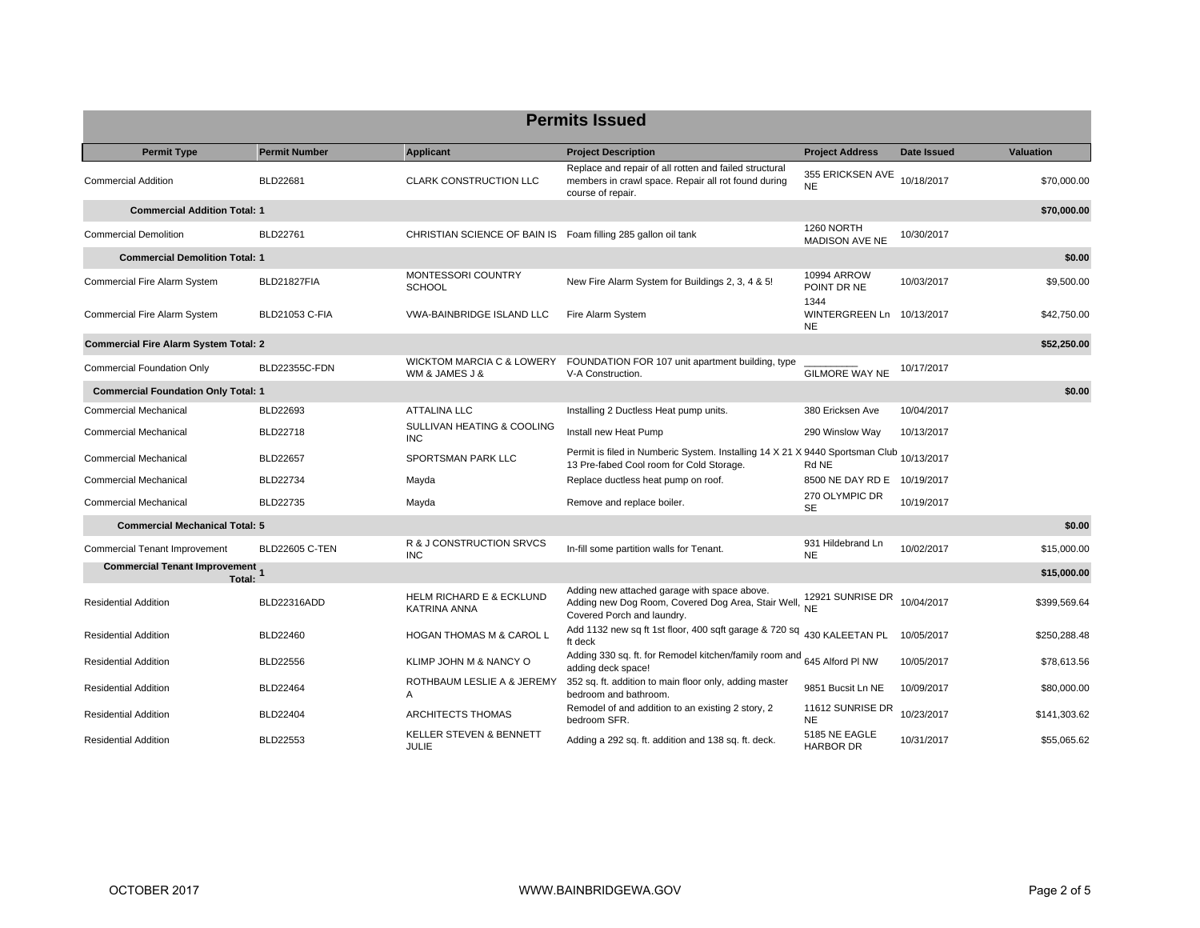| <b>Permits Issued</b>                        |                       |                                                               |                                                                                                                                     |                                                |                    |                  |  |
|----------------------------------------------|-----------------------|---------------------------------------------------------------|-------------------------------------------------------------------------------------------------------------------------------------|------------------------------------------------|--------------------|------------------|--|
| <b>Permit Type</b>                           | <b>Permit Number</b>  | <b>Applicant</b>                                              | <b>Project Description</b>                                                                                                          | <b>Project Address</b>                         | <b>Date Issued</b> | <b>Valuation</b> |  |
| <b>Commercial Addition</b>                   | BLD22681              | <b>CLARK CONSTRUCTION LLC</b>                                 | Replace and repair of all rotten and failed structural<br>members in crawl space. Repair all rot found during<br>course of repair.  | 355 ERICKSEN AVE<br><b>NE</b>                  | 10/18/2017         | \$70,000.00      |  |
| <b>Commercial Addition Total: 1</b>          |                       |                                                               |                                                                                                                                     |                                                |                    | \$70,000.00      |  |
| <b>Commercial Demolition</b>                 | BLD22761              | CHRISTIAN SCIENCE OF BAIN IS Foam filling 285 gallon oil tank |                                                                                                                                     | 1260 NORTH<br><b>MADISON AVE NE</b>            | 10/30/2017         |                  |  |
| <b>Commercial Demolition Total: 1</b>        |                       |                                                               |                                                                                                                                     |                                                |                    | \$0.00           |  |
| Commercial Fire Alarm System                 | BLD21827FIA           | MONTESSORI COUNTRY<br><b>SCHOOL</b>                           | New Fire Alarm System for Buildings 2, 3, 4 & 5!                                                                                    | 10994 ARROW<br>POINT DR NE                     | 10/03/2017         | \$9,500.00       |  |
| Commercial Fire Alarm System                 | <b>BLD21053 C-FIA</b> | <b>VWA-BAINBRIDGE ISLAND LLC</b>                              | Fire Alarm System                                                                                                                   | 1344<br>WINTERGREEN Ln 10/13/2017<br><b>NE</b> |                    | \$42,750.00      |  |
| <b>Commercial Fire Alarm System Total: 2</b> |                       |                                                               |                                                                                                                                     |                                                |                    | \$52,250.00      |  |
| <b>Commercial Foundation Only</b>            | <b>BLD22355C-FDN</b>  | WICKTOM MARCIA C & LOWERY<br>WM & JAMES J &                   | FOUNDATION FOR 107 unit apartment building, type<br>V-A Construction.                                                               | <b>GILMORE WAY NE</b>                          | 10/17/2017         |                  |  |
| <b>Commercial Foundation Only Total: 1</b>   |                       |                                                               |                                                                                                                                     |                                                |                    | \$0.00           |  |
| <b>Commercial Mechanical</b>                 | BLD22693              | <b>ATTALINA LLC</b>                                           | Installing 2 Ductless Heat pump units.                                                                                              | 380 Ericksen Ave                               | 10/04/2017         |                  |  |
| <b>Commercial Mechanical</b>                 | BLD22718              | SULLIVAN HEATING & COOLING<br><b>INC</b>                      | Install new Heat Pump                                                                                                               | 290 Winslow Way                                | 10/13/2017         |                  |  |
| <b>Commercial Mechanical</b>                 | <b>BLD22657</b>       | SPORTSMAN PARK LLC                                            | Permit is filed in Numberic System. Installing 14 X 21 X 9440 Sportsman Club 10/13/2017<br>13 Pre-fabed Cool room for Cold Storage. | Rd NE                                          |                    |                  |  |
| <b>Commercial Mechanical</b>                 | <b>BLD22734</b>       | Mayda                                                         | Replace ductless heat pump on roof.                                                                                                 | 8500 NE DAY RD E 10/19/2017                    |                    |                  |  |
| <b>Commercial Mechanical</b>                 | <b>BLD22735</b>       | Mayda                                                         | Remove and replace boiler.                                                                                                          | 270 OLYMPIC DR<br><b>SE</b>                    | 10/19/2017         |                  |  |
| <b>Commercial Mechanical Total: 5</b>        |                       |                                                               |                                                                                                                                     |                                                |                    | \$0.00           |  |
| <b>Commercial Tenant Improvement</b>         | <b>BLD22605 C-TEN</b> | R & J CONSTRUCTION SRVCS<br><b>INC</b>                        | In-fill some partition walls for Tenant.                                                                                            | 931 Hildebrand Ln<br><b>NE</b>                 | 10/02/2017         | \$15,000.00      |  |
| Commercial Tenant Improvement<br>Total:      |                       |                                                               |                                                                                                                                     |                                                |                    | \$15,000.00      |  |
| <b>Residential Addition</b>                  | <b>BLD22316ADD</b>    | <b>HELM RICHARD E &amp; ECKLUND</b><br>KATRINA ANNA           | Adding new attached garage with space above.<br>Adding new Dog Room, Covered Dog Area, Stair Well, NE<br>Covered Porch and laundry. | 12921 SUNRISE DR                               | 10/04/2017         | \$399,569.64     |  |
| <b>Residential Addition</b>                  | <b>BLD22460</b>       | <b>HOGAN THOMAS M &amp; CAROL L</b>                           | Add 1132 new sq ft 1st floor, 400 sqft garage & 720 sq<br>ft deck                                                                   | 430 KALEETAN PL                                | 10/05/2017         | \$250,288.48     |  |
| <b>Residential Addition</b>                  | <b>BLD22556</b>       | KLIMP JOHN M & NANCY O                                        | Adding 330 sq. ft. for Remodel kitchen/family room and 645 Alford PI NW<br>adding deck space!                                       |                                                | 10/05/2017         | \$78,613.56      |  |
| <b>Residential Addition</b>                  | <b>BLD22464</b>       | ROTHBAUM LESLIE A & JEREMY<br>Α                               | 352 sq. ft. addition to main floor only, adding master<br>bedroom and bathroom.                                                     | 9851 Bucsit Ln NE                              | 10/09/2017         | \$80,000.00      |  |
| <b>Residential Addition</b>                  | <b>BLD22404</b>       | ARCHITECTS THOMAS                                             | Remodel of and addition to an existing 2 story, 2<br>bedroom SFR.                                                                   | 11612 SUNRISE DR<br><b>NE</b>                  | 10/23/2017         | \$141,303.62     |  |
| <b>Residential Addition</b>                  | <b>BLD22553</b>       | <b>KELLER STEVEN &amp; BENNETT</b><br><b>JULIE</b>            | Adding a 292 sq. ft. addition and 138 sq. ft. deck.                                                                                 | 5185 NE EAGLE<br><b>HARBOR DR</b>              | 10/31/2017         | \$55,065.62      |  |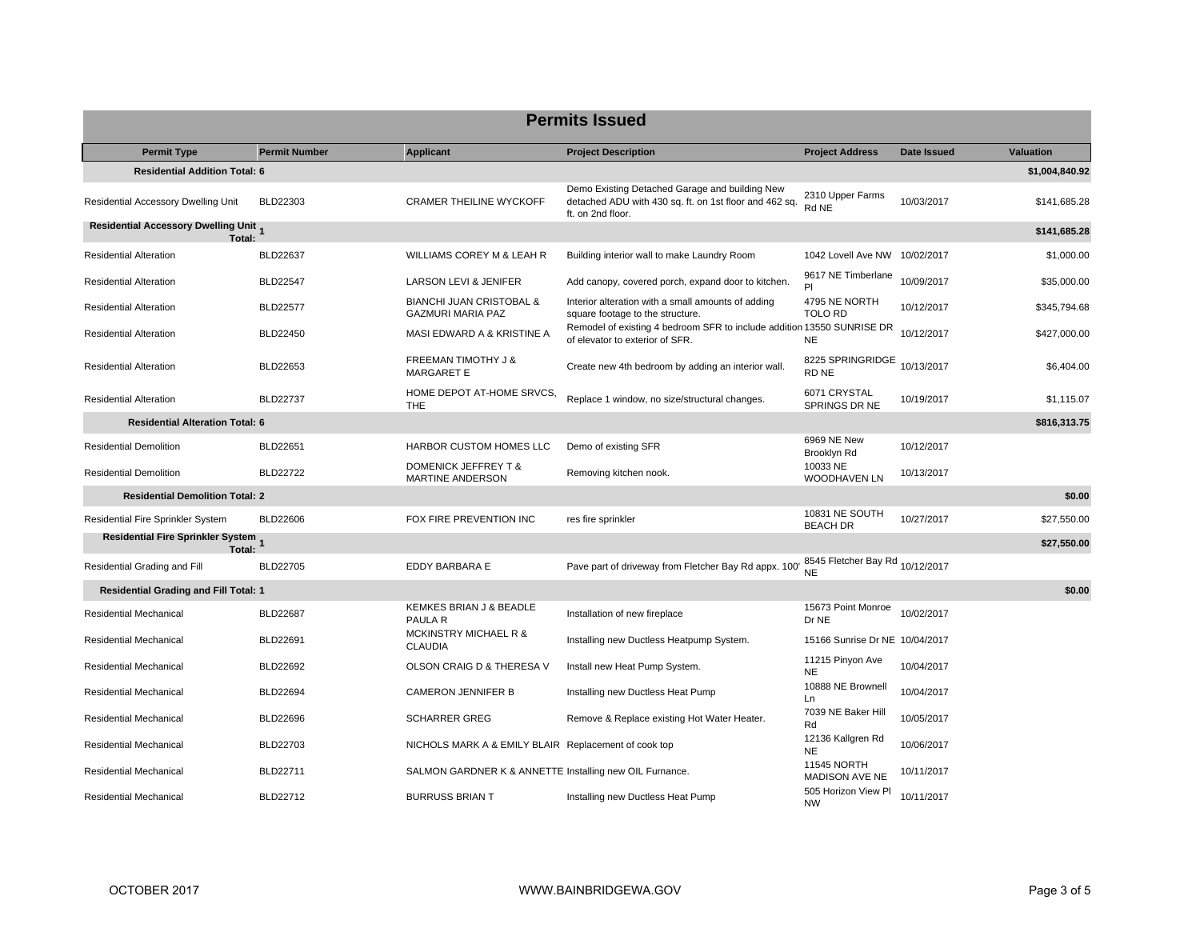| <b>Permits Issued</b>                           |                      |                                                                 |                                                                                                                               |                                              |             |                  |  |  |
|-------------------------------------------------|----------------------|-----------------------------------------------------------------|-------------------------------------------------------------------------------------------------------------------------------|----------------------------------------------|-------------|------------------|--|--|
| <b>Permit Type</b>                              | <b>Permit Number</b> | <b>Applicant</b>                                                | <b>Project Description</b>                                                                                                    | <b>Project Address</b>                       | Date Issued | <b>Valuation</b> |  |  |
| <b>Residential Addition Total: 6</b>            |                      |                                                                 |                                                                                                                               |                                              |             | \$1,004,840.92   |  |  |
| Residential Accessory Dwelling Unit             | BLD22303             | <b>CRAMER THEILINE WYCKOFF</b>                                  | Demo Existing Detached Garage and building New<br>detached ADU with 430 sq. ft. on 1st floor and 462 sq.<br>ft. on 2nd floor. | 2310 Upper Farms<br>Rd NE                    | 10/03/2017  | \$141.685.28     |  |  |
| Residential Accessory Dwelling Unit 1<br>Total: |                      |                                                                 |                                                                                                                               |                                              |             | \$141,685.28     |  |  |
| <b>Residential Alteration</b>                   | <b>BLD22637</b>      | WILLIAMS COREY M & LEAH R                                       | Building interior wall to make Laundry Room                                                                                   | 1042 Lovell Ave NW 10/02/2017                |             | \$1,000.00       |  |  |
| <b>Residential Alteration</b>                   | <b>BLD22547</b>      | LARSON LEVI & JENIFER                                           | Add canopy, covered porch, expand door to kitchen.                                                                            | 9617 NE Timberlane<br>PI                     | 10/09/2017  | \$35,000.00      |  |  |
| <b>Residential Alteration</b>                   | <b>BLD22577</b>      | <b>BIANCHI JUAN CRISTOBAL &amp;</b><br><b>GAZMURI MARIA PAZ</b> | Interior alteration with a small amounts of adding<br>square footage to the structure.                                        | 4795 NE NORTH<br>TOLO RD                     | 10/12/2017  | \$345,794.68     |  |  |
| <b>Residential Alteration</b>                   | <b>BLD22450</b>      | MASI EDWARD A & KRISTINE A                                      | Remodel of existing 4 bedroom SFR to include addition 13550 SUNRISE DR<br>of elevator to exterior of SFR.                     | <b>NE</b>                                    | 10/12/2017  | \$427,000.00     |  |  |
| <b>Residential Alteration</b>                   | BLD22653             | FREEMAN TIMOTHY J &<br><b>MARGARET E</b>                        | Create new 4th bedroom by adding an interior wall.                                                                            | 8225 SPRINGRIDGE 10/13/2017<br>RD NE         |             | \$6,404.00       |  |  |
| <b>Residential Alteration</b>                   | <b>BLD22737</b>      | HOME DEPOT AT-HOME SRVCS,<br>THE                                | Replace 1 window, no size/structural changes.                                                                                 | 6071 CRYSTAL<br>SPRINGS DR NE                | 10/19/2017  | \$1,115.07       |  |  |
| <b>Residential Alteration Total: 6</b>          |                      |                                                                 |                                                                                                                               |                                              |             | \$816,313.75     |  |  |
| <b>Residential Demolition</b>                   | BLD22651             | HARBOR CUSTOM HOMES LLC                                         | Demo of existing SFR                                                                                                          | 6969 NE New<br>Brooklyn Rd                   | 10/12/2017  |                  |  |  |
| <b>Residential Demolition</b>                   | <b>BLD22722</b>      | <b>DOMENICK JEFFREY T &amp;</b><br>MARTINE ANDERSON             | Removing kitchen nook.                                                                                                        | 10033 NE<br>WOODHAVEN LN                     | 10/13/2017  |                  |  |  |
| <b>Residential Demolition Total: 2</b>          |                      |                                                                 |                                                                                                                               |                                              |             | \$0.00           |  |  |
| Residential Fire Sprinkler System               | BLD22606             | FOX FIRE PREVENTION INC                                         | res fire sprinkler                                                                                                            | 10831 NE SOUTH<br><b>BEACH DR</b>            | 10/27/2017  | \$27,550.00      |  |  |
| Residential Fire Sprinkler System<br>Total:     |                      |                                                                 |                                                                                                                               |                                              |             | \$27,550.00      |  |  |
| Residential Grading and Fill                    | <b>BLD22705</b>      | EDDY BARBARA E                                                  | Pave part of driveway from Fletcher Bay Rd appx. 100'                                                                         | 8545 Fletcher Bay Rd 10/12/2017<br><b>NE</b> |             |                  |  |  |
| <b>Residential Grading and Fill Total: 1</b>    |                      |                                                                 |                                                                                                                               |                                              |             | \$0.00           |  |  |
| <b>Residential Mechanical</b>                   | <b>BLD22687</b>      | KEMKES BRIAN J & BEADLE<br>PAULA R                              | Installation of new fireplace                                                                                                 | 15673 Point Monroe<br>Dr NE                  | 10/02/2017  |                  |  |  |
| <b>Residential Mechanical</b>                   | BLD22691             | <b>MCKINSTRY MICHAEL R &amp;</b><br><b>CLAUDIA</b>              | Installing new Ductless Heatpump System.                                                                                      | 15166 Sunrise Dr NE 10/04/2017               |             |                  |  |  |
| Residential Mechanical                          | <b>BLD22692</b>      | OLSON CRAIG D & THERESA V                                       | Install new Heat Pump System.                                                                                                 | 11215 Pinyon Ave<br><b>NE</b>                | 10/04/2017  |                  |  |  |
| Residential Mechanical                          | BLD22694             | <b>CAMERON JENNIFER B</b>                                       | Installing new Ductless Heat Pump                                                                                             | 10888 NE Brownell<br>Ln                      | 10/04/2017  |                  |  |  |
| <b>Residential Mechanical</b>                   | <b>BLD22696</b>      | <b>SCHARRER GREG</b>                                            | Remove & Replace existing Hot Water Heater.                                                                                   | 7039 NE Baker Hill<br>Rd                     | 10/05/2017  |                  |  |  |
| Residential Mechanical                          | BLD22703             | NICHOLS MARK A & EMILY BLAIR Replacement of cook top            |                                                                                                                               | 12136 Kallgren Rd<br>NE.                     | 10/06/2017  |                  |  |  |
| <b>Residential Mechanical</b>                   | BLD22711             | SALMON GARDNER K & ANNETTE Installing new OIL Furnance.         |                                                                                                                               | <b>11545 NORTH</b><br>MADISON AVE NE         | 10/11/2017  |                  |  |  |
| <b>Residential Mechanical</b>                   | BLD22712             | <b>BURRUSS BRIAN T</b>                                          | Installing new Ductless Heat Pump                                                                                             | 505 Horizon View Pl<br><b>NW</b>             | 10/11/2017  |                  |  |  |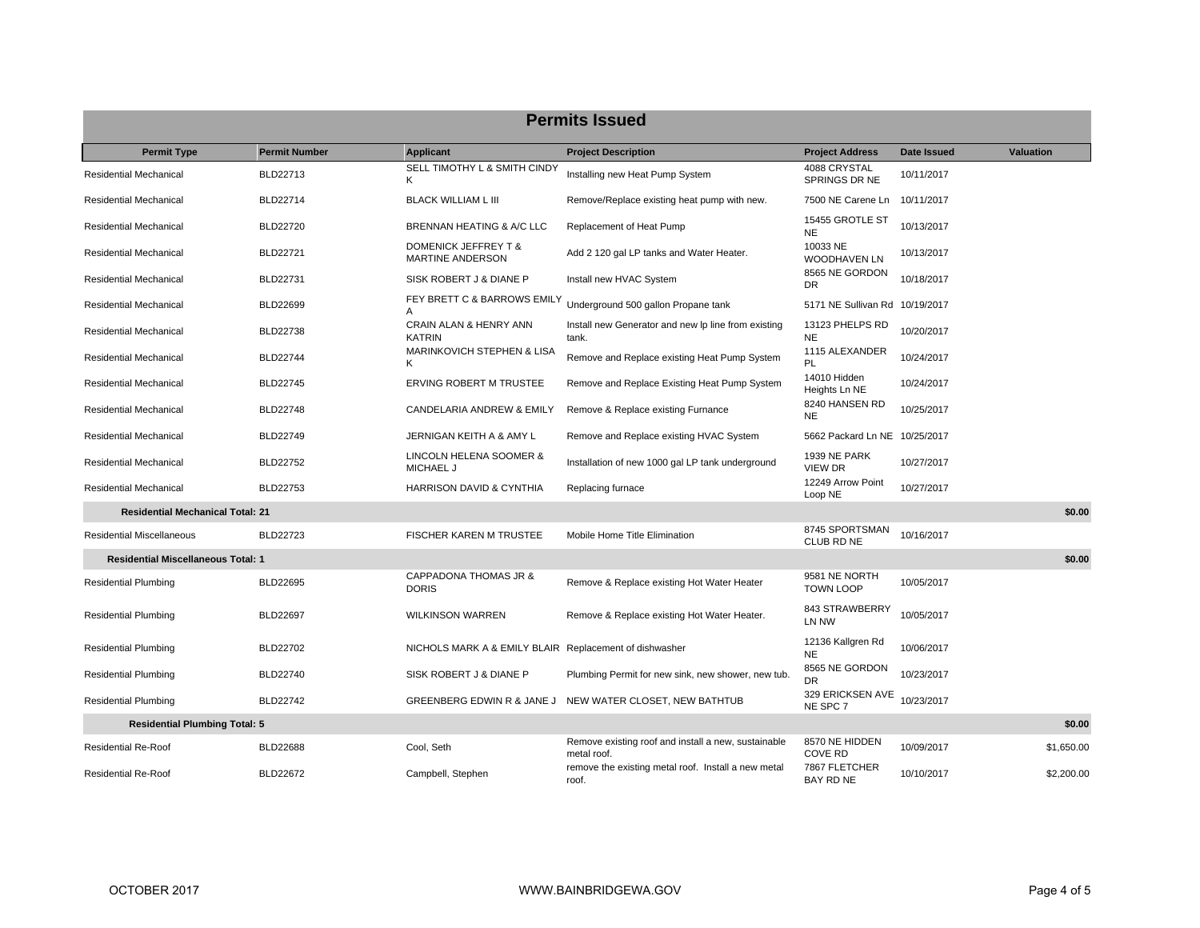| <b>Permits Issued</b>                     |                      |                                                        |                                                                    |                                       |             |            |  |  |
|-------------------------------------------|----------------------|--------------------------------------------------------|--------------------------------------------------------------------|---------------------------------------|-------------|------------|--|--|
| <b>Permit Type</b>                        | <b>Permit Number</b> | <b>Applicant</b>                                       | <b>Project Description</b>                                         | <b>Project Address</b>                | Date Issued | Valuation  |  |  |
| Residential Mechanical                    | BLD22713             | SELL TIMOTHY L & SMITH CINDY<br>Κ                      | Installing new Heat Pump System                                    | 4088 CRYSTAL<br>SPRINGS DR NE         | 10/11/2017  |            |  |  |
| Residential Mechanical                    | BLD22714             | <b>BLACK WILLIAM L III</b>                             | Remove/Replace existing heat pump with new.                        | 7500 NE Carene Ln                     | 10/11/2017  |            |  |  |
| Residential Mechanical                    | BLD22720             | BRENNAN HEATING & A/C LLC                              | Replacement of Heat Pump                                           | 15455 GROTLE ST<br><b>NE</b>          | 10/13/2017  |            |  |  |
| Residential Mechanical                    | BLD22721             | DOMENICK JEFFREY T &<br>MARTINE ANDERSON               | Add 2 120 gal LP tanks and Water Heater.                           | 10033 NE<br><b>WOODHAVEN LN</b>       | 10/13/2017  |            |  |  |
| Residential Mechanical                    | BLD22731             | SISK ROBERT J & DIANE P                                | Install new HVAC System                                            | 8565 NE GORDON<br>DR                  | 10/18/2017  |            |  |  |
| Residential Mechanical                    | <b>BLD22699</b>      | FEY BRETT C & BARROWS EMILY<br>A                       | Underground 500 gallon Propane tank                                | 5171 NE Sullivan Rd 10/19/2017        |             |            |  |  |
| Residential Mechanical                    | <b>BLD22738</b>      | CRAIN ALAN & HENRY ANN<br><b>KATRIN</b>                | Install new Generator and new Ip line from existing<br>tank.       | 13123 PHELPS RD<br><b>NE</b>          | 10/20/2017  |            |  |  |
| Residential Mechanical                    | <b>BLD22744</b>      | MARINKOVICH STEPHEN & LISA<br>K                        | Remove and Replace existing Heat Pump System                       | 1115 ALEXANDER<br>PL                  | 10/24/2017  |            |  |  |
| Residential Mechanical                    | <b>BLD22745</b>      | ERVING ROBERT M TRUSTEE                                | Remove and Replace Existing Heat Pump System                       | 14010 Hidden<br>Heights Ln NE         | 10/24/2017  |            |  |  |
| Residential Mechanical                    | <b>BLD22748</b>      | CANDELARIA ANDREW & EMILY                              | Remove & Replace existing Furnance                                 | 8240 HANSEN RD<br><b>NE</b>           | 10/25/2017  |            |  |  |
| Residential Mechanical                    | BLD22749             | JERNIGAN KEITH A & AMY L                               | Remove and Replace existing HVAC System                            | 5662 Packard Ln NE 10/25/2017         |             |            |  |  |
| Residential Mechanical                    | <b>BLD22752</b>      | LINCOLN HELENA SOOMER &<br><b>MICHAEL J</b>            | Installation of new 1000 gal LP tank underground                   | <b>1939 NE PARK</b><br><b>VIEW DR</b> | 10/27/2017  |            |  |  |
| <b>Residential Mechanical</b>             | <b>BLD22753</b>      | HARRISON DAVID & CYNTHIA                               | Replacing furnace                                                  | 12249 Arrow Point<br>Loop NE          | 10/27/2017  |            |  |  |
| <b>Residential Mechanical Total: 21</b>   |                      |                                                        |                                                                    |                                       |             | \$0.00     |  |  |
| <b>Residential Miscellaneous</b>          | BLD22723             | FISCHER KAREN M TRUSTEE                                | Mobile Home Title Elimination                                      | 8745 SPORTSMAN<br>CLUB RD NE          | 10/16/2017  |            |  |  |
| <b>Residential Miscellaneous Total: 1</b> |                      |                                                        |                                                                    |                                       |             | \$0.00     |  |  |
| <b>Residential Plumbing</b>               | BLD22695             | CAPPADONA THOMAS JR &<br><b>DORIS</b>                  | Remove & Replace existing Hot Water Heater                         | 9581 NE NORTH<br><b>TOWN LOOP</b>     | 10/05/2017  |            |  |  |
| <b>Residential Plumbing</b>               | BLD22697             | <b>WILKINSON WARREN</b>                                | Remove & Replace existing Hot Water Heater.                        | 843 STRAWBERRY<br>LN NW               | 10/05/2017  |            |  |  |
| <b>Residential Plumbing</b>               | BLD22702             | NICHOLS MARK A & EMILY BLAIR Replacement of dishwasher |                                                                    | 12136 Kallgren Rd<br><b>NE</b>        | 10/06/2017  |            |  |  |
| <b>Residential Plumbing</b>               | BLD22740             | SISK ROBERT J & DIANE P                                | Plumbing Permit for new sink, new shower, new tub.                 | 8565 NE GORDON<br>DR.                 | 10/23/2017  |            |  |  |
| <b>Residential Plumbing</b>               | <b>BLD22742</b>      |                                                        | GREENBERG EDWIN R & JANE J NEW WATER CLOSET, NEW BATHTUB           | 329 ERICKSEN AVE<br>NE SPC 7          | 10/23/2017  |            |  |  |
| <b>Residential Plumbing Total: 5</b>      |                      |                                                        |                                                                    |                                       |             | \$0.00     |  |  |
| <b>Residential Re-Roof</b>                | <b>BLD22688</b>      | Cool, Seth                                             | Remove existing roof and install a new, sustainable<br>metal roof. | 8570 NE HIDDEN<br><b>COVE RD</b>      | 10/09/2017  | \$1,650.00 |  |  |
| <b>Residential Re-Roof</b>                | <b>BLD22672</b>      | Campbell, Stephen                                      | remove the existing metal roof. Install a new metal<br>roof.       | 7867 FLETCHER<br><b>BAY RD NE</b>     | 10/10/2017  | \$2,200.00 |  |  |